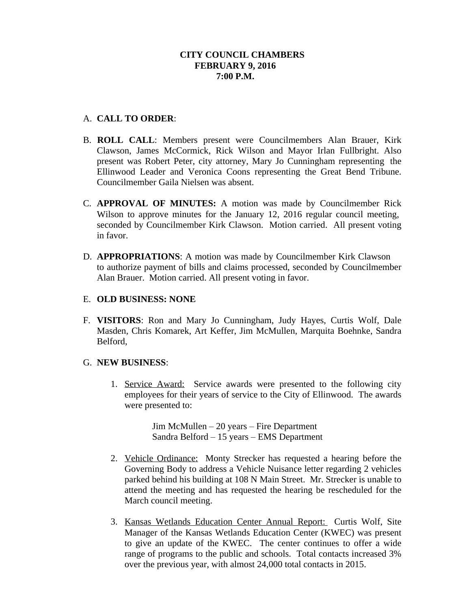# A. **CALL TO ORDER**:

- B. **ROLL CALL**: Members present were Councilmembers Alan Brauer, Kirk Clawson, James McCormick, Rick Wilson and Mayor Irlan Fullbright. Also present was Robert Peter, city attorney, Mary Jo Cunningham representing the Ellinwood Leader and Veronica Coons representing the Great Bend Tribune. Councilmember Gaila Nielsen was absent.
- C. **APPROVAL OF MINUTES:** A motion was made by Councilmember Rick Wilson to approve minutes for the January 12, 2016 regular council meeting, seconded by Councilmember Kirk Clawson. Motion carried. All present voting in favor.
- D. **APPROPRIATIONS**: A motion was made by Councilmember Kirk Clawson to authorize payment of bills and claims processed, seconded by Councilmember Alan Brauer. Motion carried. All present voting in favor.

## E. **OLD BUSINESS: NONE**

F. **VISITORS**: Ron and Mary Jo Cunningham, Judy Hayes, Curtis Wolf, Dale Masden, Chris Komarek, Art Keffer, Jim McMullen, Marquita Boehnke, Sandra Belford,

## G. **NEW BUSINESS**:

1. Service Award: Service awards were presented to the following city employees for their years of service to the City of Ellinwood. The awards were presented to:

> Jim McMullen – 20 years – Fire Department Sandra Belford – 15 years – EMS Department

- 2. Vehicle Ordinance: Monty Strecker has requested a hearing before the Governing Body to address a Vehicle Nuisance letter regarding 2 vehicles parked behind his building at 108 N Main Street. Mr. Strecker is unable to attend the meeting and has requested the hearing be rescheduled for the March council meeting.
- 3. Kansas Wetlands Education Center Annual Report: Curtis Wolf, Site Manager of the Kansas Wetlands Education Center (KWEC) was present to give an update of the KWEC. The center continues to offer a wide range of programs to the public and schools. Total contacts increased 3% over the previous year, with almost 24,000 total contacts in 2015.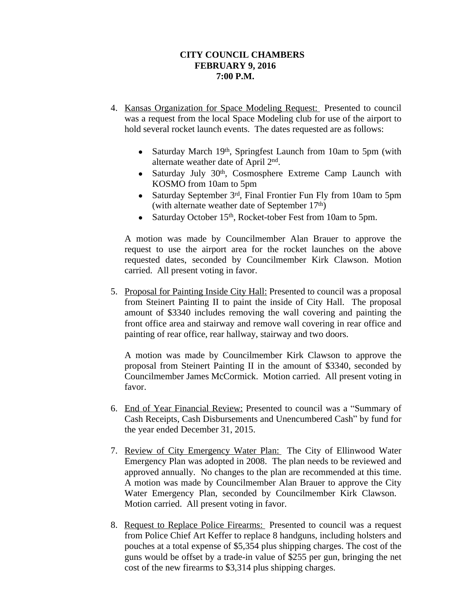- 4. Kansas Organization for Space Modeling Request: Presented to council was a request from the local Space Modeling club for use of the airport to hold several rocket launch events. The dates requested are as follows:
	- Saturday March 19<sup>th</sup>, Springfest Launch from 10am to 5pm (with alternate weather date of April 2<sup>nd</sup>.
	- Saturday July 30<sup>th</sup>, Cosmosphere Extreme Camp Launch with KOSMO from 10am to 5pm
	- Saturday September 3rd, Final Frontier Fun Fly from 10am to 5pm (with alternate weather date of September 17th)
	- Saturday October 15<sup>th</sup>, Rocket-tober Fest from 10am to 5pm.

A motion was made by Councilmember Alan Brauer to approve the request to use the airport area for the rocket launches on the above requested dates, seconded by Councilmember Kirk Clawson. Motion carried. All present voting in favor.

5. Proposal for Painting Inside City Hall: Presented to council was a proposal from Steinert Painting II to paint the inside of City Hall. The proposal amount of \$3340 includes removing the wall covering and painting the front office area and stairway and remove wall covering in rear office and painting of rear office, rear hallway, stairway and two doors.

A motion was made by Councilmember Kirk Clawson to approve the proposal from Steinert Painting II in the amount of \$3340, seconded by Councilmember James McCormick. Motion carried. All present voting in favor.

- 6. End of Year Financial Review: Presented to council was a "Summary of Cash Receipts, Cash Disbursements and Unencumbered Cash" by fund for the year ended December 31, 2015.
- 7. Review of City Emergency Water Plan: The City of Ellinwood Water Emergency Plan was adopted in 2008. The plan needs to be reviewed and approved annually. No changes to the plan are recommended at this time. A motion was made by Councilmember Alan Brauer to approve the City Water Emergency Plan, seconded by Councilmember Kirk Clawson. Motion carried. All present voting in favor.
- 8. Request to Replace Police Firearms: Presented to council was a request from Police Chief Art Keffer to replace 8 handguns, including holsters and pouches at a total expense of \$5,354 plus shipping charges. The cost of the guns would be offset by a trade-in value of \$255 per gun, bringing the net cost of the new firearms to \$3,314 plus shipping charges.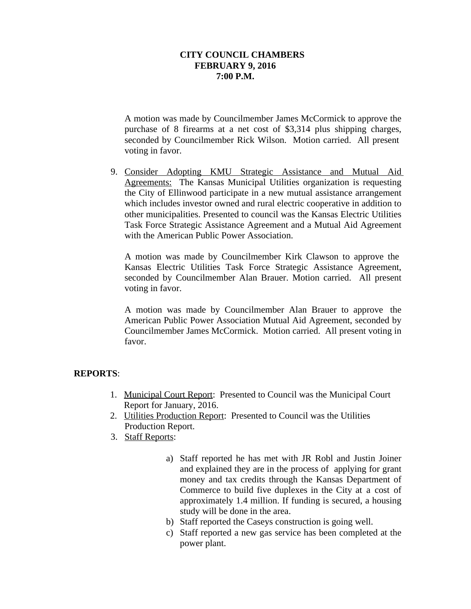A motion was made by Councilmember James McCormick to approve the purchase of 8 firearms at a net cost of \$3,314 plus shipping charges, seconded by Councilmember Rick Wilson. Motion carried. All present voting in favor.

9. Consider Adopting KMU Strategic Assistance and Mutual Aid Agreements: The Kansas Municipal Utilities organization is requesting the City of Ellinwood participate in a new mutual assistance arrangement which includes investor owned and rural electric cooperative in addition to other municipalities. Presented to council was the Kansas Electric Utilities Task Force Strategic Assistance Agreement and a Mutual Aid Agreement with the American Public Power Association.

A motion was made by Councilmember Kirk Clawson to approve the Kansas Electric Utilities Task Force Strategic Assistance Agreement, seconded by Councilmember Alan Brauer. Motion carried. All present voting in favor.

A motion was made by Councilmember Alan Brauer to approve the American Public Power Association Mutual Aid Agreement, seconded by Councilmember James McCormick. Motion carried. All present voting in favor.

## **REPORTS**:

- 1. Municipal Court Report: Presented to Council was the Municipal Court Report for January, 2016.
- 2. Utilities Production Report: Presented to Council was the Utilities Production Report.
- 3. Staff Reports:
	- a) Staff reported he has met with JR Robl and Justin Joiner and explained they are in the process of applying for grant money and tax credits through the Kansas Department of Commerce to build five duplexes in the City at a cost of approximately 1.4 million. If funding is secured, a housing study will be done in the area.
	- b) Staff reported the Caseys construction is going well.
	- c) Staff reported a new gas service has been completed at the power plant.